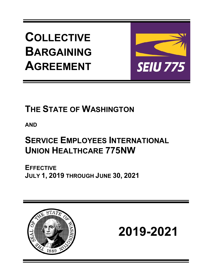**COLLECTIVE BARGAINING AGREEMENT**



# **THE STATE OF WASHINGTON**

**AND**

# **SERVICE EMPLOYEES INTERNATIONAL UNION HEALTHCARE 775NW**

**EFFECTIVE JULY 1, 2019 THROUGH JUNE 30, 2021** 



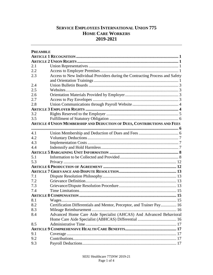# **SERVICE EMPLOYEES INTERNATIONAL UNION 775 HOME CARE WORKERS 2019-2021**

| <b>PREAMBLE</b> |                                                                              |  |
|-----------------|------------------------------------------------------------------------------|--|
|                 |                                                                              |  |
|                 |                                                                              |  |
| 2.1             |                                                                              |  |
| 2.2             |                                                                              |  |
| 2.3             | Access to New Individual Providers during the Contracting Process and Safety |  |
|                 |                                                                              |  |
| 2.4             |                                                                              |  |
| 2.5             |                                                                              |  |
| 2.6             |                                                                              |  |
| 2.7             |                                                                              |  |
| 2.8             |                                                                              |  |
|                 |                                                                              |  |
| 3.2             |                                                                              |  |
| 3.5             |                                                                              |  |
|                 | ARTICLE 4 UNION MEMBERSHIP AND DEDUCTION OF DUES, CONTRIBUTIONS AND FEES     |  |
|                 |                                                                              |  |
| 4.1             |                                                                              |  |
| 4.2             |                                                                              |  |
| 4.3             |                                                                              |  |
| 4.4             |                                                                              |  |
|                 |                                                                              |  |
| 5.1             |                                                                              |  |
| 5.3             |                                                                              |  |
|                 |                                                                              |  |
|                 |                                                                              |  |
| 7.1             |                                                                              |  |
| 7.2             |                                                                              |  |
| 7.3             |                                                                              |  |
| 7.4             |                                                                              |  |
|                 |                                                                              |  |
| 8.1             |                                                                              |  |
| 8.2             | Certification Differentials and Mentor, Preceptor, and Trainer Pay 16        |  |
| 8.3             |                                                                              |  |
| 8.4             | Advanced Home Care Aide Specialist (AHCAS) And Advanced Behavioral           |  |
|                 |                                                                              |  |
| 8.5             |                                                                              |  |
|                 |                                                                              |  |
| 9.1             |                                                                              |  |
| 9.2             |                                                                              |  |
| 9.3             |                                                                              |  |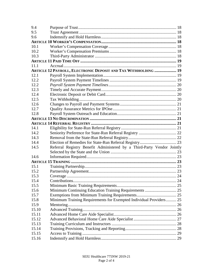| 9.4   |                                                                        |  |
|-------|------------------------------------------------------------------------|--|
| 9.5   |                                                                        |  |
| 9.6   |                                                                        |  |
|       |                                                                        |  |
| 10.1  |                                                                        |  |
| 10.2  |                                                                        |  |
| 10.3  |                                                                        |  |
|       |                                                                        |  |
| 111   |                                                                        |  |
|       | ARTICLE 12 PAYROLL, ELECTRONIC DEPOSIT AND TAX WITHHOLDING  19         |  |
| 12.1  |                                                                        |  |
| 12.2  |                                                                        |  |
| 12.2  |                                                                        |  |
| 12.3  |                                                                        |  |
| 12.4  |                                                                        |  |
| 12.5  |                                                                        |  |
| 12.6  |                                                                        |  |
| 12.7  |                                                                        |  |
| 12.8  |                                                                        |  |
|       |                                                                        |  |
|       |                                                                        |  |
| 14.1  |                                                                        |  |
| 14.2  |                                                                        |  |
| 14.3  |                                                                        |  |
| 14.4  |                                                                        |  |
| 14.5  | Referral Registry Benefit Administered by a Third-Party Vendor Jointly |  |
|       |                                                                        |  |
| 14.6  |                                                                        |  |
|       |                                                                        |  |
| 15.1  |                                                                        |  |
| 15.2  |                                                                        |  |
| 15.3  |                                                                        |  |
| 15.4  |                                                                        |  |
| 15.5  |                                                                        |  |
| 15.6  |                                                                        |  |
| 15.7  |                                                                        |  |
| 15.8  | Minimum Training Requirements for Exempted Individual Providers 25     |  |
| 15.9  |                                                                        |  |
| 15.10 |                                                                        |  |
| 15.11 |                                                                        |  |
| 15.12 |                                                                        |  |
| 15.13 |                                                                        |  |
| 15.14 |                                                                        |  |
| 15.15 |                                                                        |  |
| 15.16 |                                                                        |  |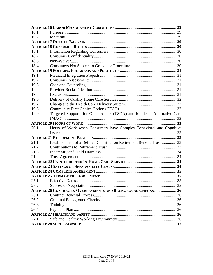| 16.1  |                                                                         |  |
|-------|-------------------------------------------------------------------------|--|
| 16.2  |                                                                         |  |
|       |                                                                         |  |
|       |                                                                         |  |
| 18.1  |                                                                         |  |
| 18.2  |                                                                         |  |
| 18.3  |                                                                         |  |
| 18.4  |                                                                         |  |
|       |                                                                         |  |
| 19.1  |                                                                         |  |
| 19.2  |                                                                         |  |
| 19.3  |                                                                         |  |
| 19.4  |                                                                         |  |
| 19.5  |                                                                         |  |
| 19.6  |                                                                         |  |
| 19.7  |                                                                         |  |
| 19.8  |                                                                         |  |
| 19.9  | Targeted Supports for Older Adults (TSOA) and Medicaid Alternative Care |  |
|       |                                                                         |  |
|       |                                                                         |  |
| 20.1  | Hours of Work when Consumers have Complex Behavioral and Cognitive      |  |
|       |                                                                         |  |
|       |                                                                         |  |
| 21.1  | Establishment of a Defined Contribution Retirement Benefit Trust  33    |  |
| 21.2  |                                                                         |  |
| 21.3  |                                                                         |  |
| 21.4  |                                                                         |  |
|       |                                                                         |  |
|       |                                                                         |  |
|       |                                                                         |  |
|       |                                                                         |  |
|       |                                                                         |  |
| 25.2  |                                                                         |  |
|       | ARTICLE 26 CONTRACTS, OVERPAYMENTS AND BACKGROUND CHECKS  36            |  |
| 26.1  |                                                                         |  |
| 26.2. |                                                                         |  |
| 26.3  |                                                                         |  |
| 26.4. |                                                                         |  |
|       |                                                                         |  |
| 27.1  |                                                                         |  |
|       |                                                                         |  |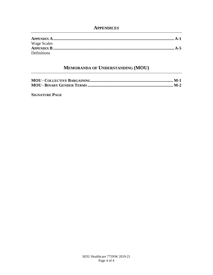# **APPENDICES**

| Wage Scales        |  |
|--------------------|--|
|                    |  |
| <b>Definitions</b> |  |

# **MEMORANDA OF UNDERSTANDING (MOU)**

**SIGNATURE PAGE**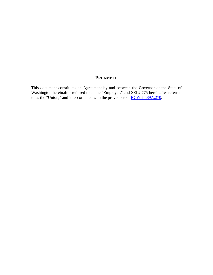# **PREAMBLE**

This document constitutes an Agreement by and between the Governor of the State of Washington hereinafter referred to as the "Employer," and SEIU 775 hereinafter referred to as the "Union," and in accordance with the provisions of <u>RCW 74.39A.270</u>.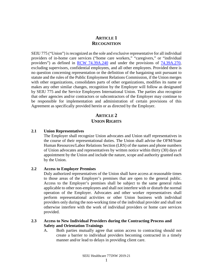# **ARTICLE 1 RECOGNITION**

<span id="page-8-0"></span>SEIU 775 ("Union") is recognized as the sole and exclusive representative for all individual providers of in-home care services ("home care workers," "caregivers," or "individual providers") as defined in [RCW 74.39A.240](http://app.leg.wa.gov/RCW/default.aspx?cite=74.39A.240) and under the provisions of [74.39A.270,](http://apps.leg.wa.gov/rcw/default.aspx?cite=74.39A.270) excluding supervisors, confidential employees, and all other employees. Provided there is no question concerning representation or the definition of the bargaining unit pursuant to statute and the rules of the Public Employment Relations Commission, if the Union merges with other organizations, consolidates parts of other organizations, modifies its name or makes any other similar changes, recognition by the Employer will follow as designated by SEIU 775 and the Service Employees International Union. The parties also recognize that other agencies and/or contractors or subcontractors of the Employer may continue to be responsible for implementation and administration of certain provisions of this Agreement as specifically provided herein or as directed by the Employer.

# **ARTICLE 2 UNION RIGHTS**

#### <span id="page-8-2"></span><span id="page-8-1"></span>**2.1 Union Representatives**

The Employer shall recognize Union advocates and Union staff representatives in the course of their representational duties. The Union shall advise the OFM/State Human Resources/Labor Relations Section (LRS) of the names and phone numbers of Union advocates and representatives by written notice within thirty (30) days of appointment by the Union and include the nature, scope and authority granted each by the Union.

#### <span id="page-8-3"></span>**2.2 Access to Employer Premises**

Duly authorized representatives of the Union shall have access at reasonable times to those areas of the Employer's premises that are open to the general public. Access to the Employer's premises shall be subject to the same general rules applicable to other non-employees and shall not interfere with or disturb the normal operation of the Employer. Advocates and other worker representatives shall perform representational activities or other Union business with individual providers only during the non-working time of the individual provider and shall not otherwise interfere with the work of individual providers or home care services provided.

## <span id="page-8-4"></span>**2.3 Access to New Individual Providers during the Contracting Process and Safety and Orientation Trainings**

A. Both parties mutually agree that union access to contracting should not create a barrier to individual providers becoming contracted in a timely manner and/or lead to delays in providing client care.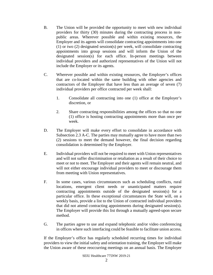- B. The Union will be provided the opportunity to meet with new individual providers for thirty (30) minutes during the contracting process in nonpublic areas. Wherever possible and within existing resources, the Employer and its agents will consolidate contracting appointments into one (1) or two (2) designated session(s) per week, will consolidate contracting appointments into group sessions and will inform the Union of the designated session(s) for each office. In-person meetings between individual providers and authorized representatives of the Union will not include the Employer or its agents.
- C. Wherever possible and within existing resources, the Employer's offices that are co-located within the same building with other agencies and contractors of the Employer that have less than an average of seven (7) individual providers per office contracted per week shall:
	- 1. Consolidate all contracting into one (1) office at the Employer's discretion, or
	- 2. Share contracting responsibilities among the offices so that no one (1) office is hosting contracting appointments more than once per week.
- D. The Employer will make every effort to consolidate in accordance with Subsection 2.3 A-C. The parties may mutually agree to have more than two (2) sessions to meet the demand however, the final decision regarding consolidation is determined by the Employer.
- E. Individual providers will not be required to meet with Union representatives and will not suffer discrimination or retaliation as a result of their choice to meet or not to meet. The Employer and their agents will remain neutral, and will not either encourage individual providers to meet or discourage them from meeting with Union representatives.
- F. In some cases, various circumstances such as scheduling conflicts, rural locations, emergent client needs or unanticipated matters require contracting appointments outside of the designated session(s) for a particular office. In these exceptional circumstances the State will, on a weekly basis, provide a list to the Union of contracted individual providers that did not attend contracting appointments during designated session(s). The Employer will provide this list through a mutually agreed-upon secure method.
- G. The parties agree to use and expand telephonic and/or video conferencing in offices where such interfacing could be feasible to facilitate union access.

If the Employer's office has regularly scheduled recurring times for individual providers to view the initial safety and orientation training, the Employer will make the Union aware of these reoccurring meetings on an annual basis. The Employer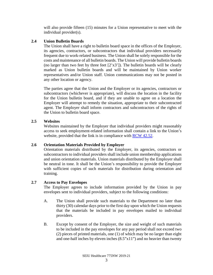will also provide fifteen (15) minutes for a Union representative to meet with the individual provider(s).

# <span id="page-10-0"></span>**2.4 Union Bulletin Boards**

The Union shall have a right to bulletin board space in the offices of the Employer, its agencies, contractors, or subcontractors that individual providers necessarily frequent due to work-related business. The Union shall be solely responsible for the costs and maintenance of all bulletin boards. The Union will provide bulletin boards (no larger than two feet by three feet  $[2'x3']$ ). The bulletin boards will be clearly marked as Union bulletin boards and will be maintained by Union worker representatives and/or Union staff. Union communications may not be posted in any other location or agency.

The parties agree that the Union and the Employer or its agencies, contractors or subcontractors (whichever is appropriate), will discuss the location in the facility for the Union bulletin board, and if they are unable to agree on a location the Employer will attempt to remedy the situation, appropriate to their subcontracted agent. The Employer shall inform contractors and subcontractors of the rights of the Union to bulletin board space.

# <span id="page-10-1"></span>**2.5 Websites**

Websites maintained by the Employer that individual providers might reasonably access to seek employment-related information shall contain a link to the Union's website, provided that the link is in compliance with [RCW 42.52.](http://apps.leg.wa.gov/rcw/default.aspx?cite=42.52&full=true)

# <span id="page-10-2"></span>**2.6 Orientation Materials Provided by Employer**

Orientation materials distributed by the Employer, its agencies, contractors or subcontractors to individual providers shall include union membership applications and union orientation materials. Union materials distributed by the Employer shall be neutral in tone. It shall be the Union's responsibility to provide the Employer with sufficient copies of such materials for distribution during orientation and training.

# <span id="page-10-3"></span>**2.7 Access to Pay Envelopes**

The Employer agrees to include information provided by the Union in pay envelopes sent to individual providers, subject to the following conditions:

- A. The Union shall provide such materials to the Department no later than thirty (30) calendar days prior to the first day upon which the Union requests that the materials be included in pay envelopes mailed to individual providers.
- B. Except by consent of the Employer, the size and weight of such materials to be included in the pay envelopes for any pay period shall not exceed two (2) pieces of printed materials, one (1) of which may be no larger than eight and one-half inches by eleven inches (8.5"x11") and no heavier than twenty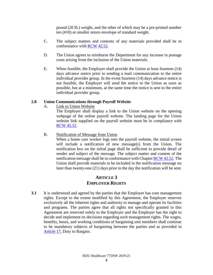pound (20 lb.) weight, and the other of which may be a pre-printed number ten (#10) or smaller return envelope of standard weight.

- C. The subject matters and contents of any materials provided shall be in conformance with [RCW 42.52.](http://apps.leg.wa.gov/rcw/default.aspx?cite=42.52&full=true)
- D. The Union agrees to reimburse the Department for any increase in postage costs arising from the inclusion of the Union materials.
- E. When feasible, the Employer shall provide the Union at least fourteen (14) days advance notice prior to sending a mail communication to the entire individual provider group. In the event fourteen (14) days advance notice is not feasible, the Employer will send the notice to the Union as soon as possible, but at a minimum, at the same time the notice is sent to the entire individual provider group.

# <span id="page-11-0"></span>**2.8 Union Communications through Payroll Website**

A. Link to Union Website

The Employer shall display a link to the Union website on the opening webpage of the online payroll website. The landing page for the Union website link supplied on the payroll website must be in compliance with [RCW 45.52.](http://apps.leg.wa.gov/rcw/default.aspx?cite=42.52&full=true)

# B. Notification of Message from Union

When a home care worker logs into the payroll website, the initial screen will include a notification of new message(s) from the Union. The notification box on the initial page shall be sufficient to provide detail of sender and subject of the message. The subject matter and content of the notification message shall be in conformance with Chapte[r RCW 42.52.](http://app.leg.wa.gov/RCW/default.aspx?cite=42.52) The Union shall provide materials to be included in the notification message no later than twenty-one (21) days prior to the day the notification will be sent.

# **ARTICLE 3 EMPLOYER RIGHTS**

<span id="page-11-1"></span>**3.1** It is understood and agreed by the parties that the Employer has core management rights. Except to the extent modified by this Agreement, the Employer reserves exclusively all the inherent rights and authority to manage and operate its facilities and programs. The parties agree that all rights not specifically granted in this Agreement are reserved solely to the Employer and the Employer has the right to decide and implement its decisions regarding such management rights. The wages, benefits, hours, and working conditions of bargaining unit members shall continue to be mandatory subjects of bargaining between the parties and as provided in [Article 17,](#page-37-0) Duty to Bargain.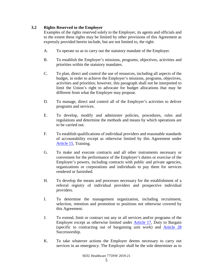# <span id="page-12-0"></span>**3.2 Rights Reserved to the Employer**

Examples of the rights reserved solely to the Employer, its agents and officials and to the extent these rights may be limited by other provisions of this Agreement as expressly provided herein include, but are not limited to, the right:

- A. To operate so as to carry out the statutory mandate of the Employer.
- B. To establish the Employer's missions, programs, objectives, activities and priorities within the statutory mandates.
- C. To plan, direct and control the use of resources, including all aspects of the budget, in order to achieve the Employer's missions, programs, objectives, activities and priorities; however, this paragraph shall not be interpreted to limit the Union's right to advocate for budget allocations that may be different from what the Employer may propose.
- D. To manage, direct and control all of the Employer's activities to deliver programs and services.
- E. To develop, modify and administer policies, procedures, rules and regulations and determine the methods and means by which operations are to be carried out.
- F. To establish qualifications of individual providers and reasonable standards of accountability except as otherwise limited by this Agreement under [Article 15,](#page-30-3) Training.
- G. To make and execute contracts and all other instruments necessary or convenient for the performance of the Employer's duties or exercise of the Employer's powers, including contracts with public and private agencies, organizations or corporations and individuals to pay them for services rendered or furnished.
- H. To develop the means and processes necessary for the establishment of a referral registry of individual providers and prospective individual providers.
- I. To determine the management organization, including recruitment, selection, retention and promotion to positions not otherwise covered by this Agreement.
- J. To extend, limit or contract out any or all services and/or programs of the Employer except as otherwise limited under [Article 17,](#page-37-0) Duty to Bargain (specific to contracting out of bargaining unit work) and [Article 28](#page-44-0) Successorship.
- K. To take whatever actions the Employer deems necessary to carry out services in an emergency. The Employer shall be the sole determiner as to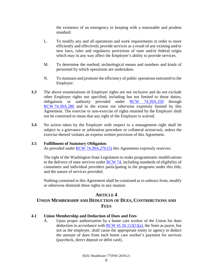the existence of an emergency in keeping with a reasonable and prudent standard.

- <span id="page-13-3"></span>L. To modify any and all operations and work requirements in order to more efficiently and effectively provide services as a result of any existing and/or new laws, rules and regulatory provisions of state and/or federal origin which may in any way affect the Employer's ability to provide services.
- M. To determine the method, technological means and numbers and kinds of personnel by which operations are undertaken.
- N. To maintain and promote the efficiency of public operations entrusted to the Employer.
- **3.3** The above enumerations of Employer rights are not inclusive and do not exclude other Employer rights not specified, including but not limited to those duties, obligations or authority provided under [RCW 74.39A.250](http://apps.leg.wa.gov/rcw/default.aspx?cite=74.39A.250) through RCW [74.39A.280](http://app.leg.wa.gov/RCW/dispo.aspx?cite=74.39A.280) and to the extent not otherwise expressly limited by this Agreement. The exercise or non-exercise of rights retained by the Employer shall not be construed to mean that any right of the Employer is waived.
- **3.4** No action taken by the Employer with respect to a management right shall be subject to a grievance or arbitration procedure or collateral action/suit, unless the exercise thereof violates an express written provision of this Agreement.

## <span id="page-13-0"></span>**3.5 Fulfillment of Statutory Obligation**

As provided under [RCW 74.39A.270 \(5\)](http://apps.leg.wa.gov/rcw/default.aspx?cite=74.39A.270) this Agreement expressly reserves:

The right of the Washington State Legislature to make programmatic modifications to the delivery of state services under [RCW 74,](http://apps.leg.wa.gov/rcw/default.aspx?Cite=74) including standards of eligibility of consumers and individual providers participating in the programs under this title, and the nature of services provided.

Nothing contained in this Agreement shall be construed as to subtract from, modify or otherwise diminish these rights in any manner.

# **ARTICLE 4**

# <span id="page-13-1"></span>**UNION MEMBERSHIP AND DEDUCTION OF DUES, CONTRIBUTIONS AND FEES**

# <span id="page-13-2"></span>**4.1 Union Membership and Deduction of Dues and Fees**

A. Upon proper authorization by a home care worker of the Union for dues deduction in accordance with RCW  $41.56.113(1)(a)$ , the State as payor, but not as the employer, shall cause the appropriate entity or agency to deduct the amount of dues from each home care worker's payment for services (paycheck, direct deposit or debit card).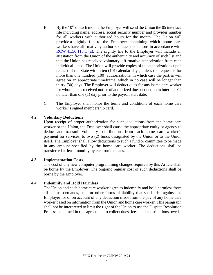- <span id="page-14-3"></span>B. By the  $10<sup>th</sup>$  of each month the Employer will send the Union the 05 interface file including name, address, social security number and provider number for all workers with authorized hours for the month. The Union will provide a nightly file to the Employer containing which home care workers have affirmatively authorized dues deductions in accordance with  $RCW$  [41.56.113\(1\)\(a\).](http://app.leg.wa.gov/RCW/default.aspx?cite=41.56.113) The nightly file to the Employer will include an attestation from the Union of the authenticity and accuracy of such list and that the Union has received voluntary, affirmative authorization from each individual listed. The Union will provide copies of the authorizations upon request of the State within ten (10) calendar days, unless the request is for more than one hundred (100) authorizations, in which case the parties will agree on an appropriate timeframe, which in no case will be longer than thirty (30) days. The Employer will deduct dues for any home care worker for whom it has received notice of authorized dues deduction in interface 02 no later than one (1) day prior to the payroll start date.
- C. The Employer shall honor the terms and conditions of each home care worker's signed membership card.

# <span id="page-14-0"></span>**4.2 Voluntary Deductions**

Upon receipt of proper authorization for such deductions from the home care worker or the Union, the Employer shall cause the appropriate entity or agency to deduct and transmit voluntary contributions from each home care worker's payment for services, to two (2) funds designated by the Union or to the Union itself. The Employer shall allow deductions to such a fund or committee to be made in any amount specified by the home care worker. The deductions shall be transferred at least monthly by electronic means.

# <span id="page-14-1"></span>**4.3 Implementation Costs**

The cost of any new computer programming changes required by this Article shall be borne by the Employer. The ongoing regular cost of such deductions shall be borne by the Employer.

# <span id="page-14-2"></span>**4.4 Indemnify and Hold Harmless**

The Union and each home care worker agree to indemnify and hold harmless from all claims, demands, suits or other forms of liability that shall arise against the Employer for or on account of any deduction made from the pay of any home care worker based on information from the Union and home care worker. This paragraph shall not be interpreted to limit the right of the Union to use the Dispute Resolution Process contained in this agreement to collect dues, fees, and contributions owed.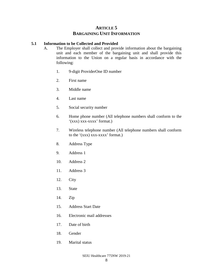# **ARTICLE 5 BARGAINING UNIT INFORMATION**

## <span id="page-15-1"></span><span id="page-15-0"></span>**5.1 Information to be Collected and Provided**

- A. The Employer shall collect and provide information about the bargaining unit and each member of the bargaining unit and shall provide this information to the Union on a regular basis in accordance with the following:
	- 1. 9-digit ProviderOne ID number
	- 2. First name
	- 3. Middle name
	- 4. Last name
	- 5. Social security number
	- 6. Home phone number (All telephone numbers shall conform to the '(xxx) xxx-xxxx' format.)
	- 7. Wireless telephone number (All telephone numbers shall conform to the  $'(xxx)$  xxx-xxxx' format.)
	- 8. Address Type
	- 9. Address 1
	- 10. Address 2
	- 11. Address 3
	- 12. City
	- 13. State
	- 14. Zip
	- 15. Address Start Date
	- 16. Electronic mail addresses
	- 17. Date of birth
	- 18. Gender
	- 19. Marital status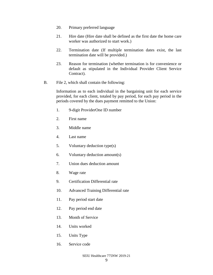- 20. Primary preferred language
- 21. Hire date (Hire date shall be defined as the first date the home care worker was authorized to start work.)
- 22. Termination date (If multiple termination dates exist, the last termination date will be provided.)
- 23. Reason for termination (whether termination is for convenience or default as stipulated in the Individual Provider Client Service Contract).
- B. File 2, which shall contain the following:

Information as to each individual in the bargaining unit for each service provided, for each client, totaled by pay period, for each pay period in the periods covered by the dues payment remitted to the Union:

- 1. 9-digit ProviderOne ID number
- 2. First name
- 3. Middle name
- 4. Last name
- 5. Voluntary deduction type(s)
- 6. Voluntary deduction amount(s)
- 7. Union dues deduction amount
- 8. Wage rate
- 9. Certification Differential rate
- 10. Advanced Training Differential rate
- 11. Pay period start date
- 12. Pay period end date
- 13. Month of Service
- 14. Units worked
- 15. Units Type
- 16. Service code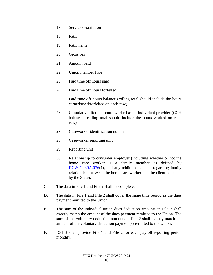- 17. Service description
- 18. RAC
- 19. RAC name
- 20. Gross pay
- 21. Amount paid
- 22. Union member type
- 23. Paid time off hours paid
- 24. Paid time off hours forfeited
- 25. Paid time off hours balance (rolling total should include the hours earned/used/forfeited on each row).
- 26. Cumulative lifetime hours worked as an individual provider (CCH balance – rolling total should include the hours worked on each row).
- 27. Caseworker identification number
- 28. Caseworker reporting unit
- 29. Reporting unit
- 30. Relationship to consumer employer (including whether or not the home care worker is a family member as defined by RCW [74.39A.076\(](http://app.leg.wa.gov/RCW/default.aspx?cite=74.39A.076)1), and any additional details regarding family relationship between the home care worker and the client collected by the State).
- C. The data in File 1 and File 2 shall be complete.
- D. The data in File 1 and File 2 shall cover the same time period as the dues payment remitted to the Union.
- E. The sum of the individual union dues deduction amounts in File 2 shall exactly match the amount of the dues payment remitted to the Union. The sum of the voluntary deduction amounts in File 2 shall exactly match the amount of the voluntary deduction payment(s) remitted to the Union.
- F. DSHS shall provide File 1 and File 2 for each payroll reporting period monthly.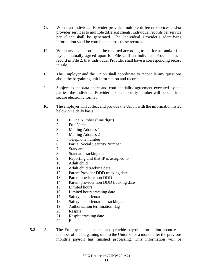- G. Where an Individual Provider provides multiple different services and/or provides services to multiple different clients, individual records per service per client shall be generated. The Individual Provider's identifying information shall be consistent across these records.
- H. Voluntary deductions shall be reported according to the format and/or file layout mutually agreed upon for File 2. If an Individual Provider has a record in File 2, that Individual Provider shall have a corresponding record in File 1.
- I. The Employer and the Union shall coordinate to reconcile any questions about the bargaining unit information and records.
- J. Subject to the data share and confidentiality agreement executed by the parties, the Individual Provider's social security number will be sent in a secure electronic format.
- K. The employer will collect and provide the Union with the information listed below on a daily basis:
	- 1. IPOne Number (nine digit)
	- 2. Full Name
	- 3. Mailing Address 1
	- 4. Mailing Address 2
	- 5. Telephone number
	- 6. Partial Social Security Number
	- 7. Standard
	- 8. Standard tracking date
	- 9. Reporting unit that IP is assigned to
	- 10. Adult child
	- 11. Adult child tracking date
	- 12. Parent Provider DDD tracking date
	- 13. Parent provider non DDD
	- 14. Parent provider non DDD tracking date
	- 15. Limited hours
	- 16. Limited hours tracking date
	- 17. Safety and orientation
	- 18. Safety and orientation tracking date
	- 19. Authorization termination flag
	- 20. Respite
	- 21. Respite tracking date
	- 22. Email
- **5.2** A. The Employer shall collect and provide payroll information about each member of the bargaining unit to the Union once a month after the previous month's payroll has finished processing. This information will be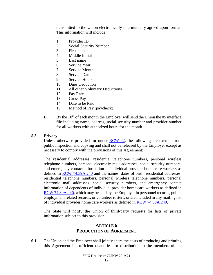transmitted to the Union electronically in a mutually agreed upon format. This information will include:

- 1. Provider ID
- 2. Social Security Number
- 3. First name
- 4. Middle Initial
- 5. Last name
- 6. Service Year
- 7. Service Month
- 8. Service Date
- 9. Service Hours
- 10. Dues Deduction
- 11. All other Voluntary Deductions
- 12. Pay Rate
- 13. Gross Pay
- 14. Date to be Paid
- 15. Method of Pay (paycheck)
- B. By the  $10<sup>th</sup>$  of each month the Employer will send the Union the 05 interface file including name, address, social security number and provider number for all workers with authorized hours for the month.

#### <span id="page-19-0"></span>**5.3 Privacy**

Unless otherwise provided for under  $RCW$  42, the following are exempt from public inspection and copying and shall not be released by the Employer except as necessary to comply with the provisions of this Agreement:

The residential addresses, residential telephone numbers, personal wireless telephone numbers, personal electronic mail addresses, social security numbers, and emergency contact information of individual provider home care workers as defined in [RCW 74.39A.240](http://apps.leg.wa.gov/rcw/default.aspx?cite=74.39A.240) and the names, dates of birth, residential addresses, residential telephone numbers, personal wireless telephone numbers, personal electronic mail addresses, social security numbers, and emergency contact information of dependents of individual provider home care workers as defined in [RCW 74.39A.240,](http://apps.leg.wa.gov/rcw/default.aspx?cite=74.39A.240) which may be held by the Employer in personnel records, public employment related records, or volunteer rosters, or are included in any mailing list of individual provider home care workers as defined in [RCW 74.39A.240.](http://apps.leg.wa.gov/rcw/default.aspx?cite=74.39A.240)

The State will notify the Union of third-party requests for lists of private information subject to this provision.

# **ARTICLE 6 PRODUCTION OF AGREEMENT**

<span id="page-19-1"></span>**6.1** The Union and the Employer shall jointly share the costs of producing and printing this Agreement in sufficient quantities for distribution to the members of the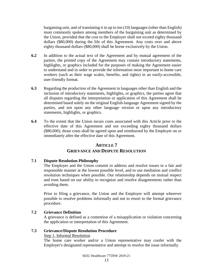bargaining unit, and of translating it in up to ten (10) languages (other than English) most commonly spoken among members of the bargaining unit as determined by the Union, provided that the cost to the Employer shall not exceed eighty thousand dollars (\$80,000) during the life of this Agreement. Any costs over and above eighty thousand dollars (\$80,000) shall be borne exclusively by the Union.

- **6.2** In addition to the actual text of the Agreement and by mutual agreement of the parties, the printed copy of the Agreement may contain introductory statements, highlights, or graphics included for the purposes of making the Agreement easier to understand and in order to provide the information most important to home care workers (such as their wage scales, benefits, and rights) in an easily-accessible, user-friendly format.
- **6.3** Regarding the production of the Agreement in languages other than English and the inclusion of introductory statements, highlights, or graphics, the parties agree that all disputes regarding the interpretation or application of this Agreement shall be determined based solely on the original English-language Agreement signed by the parties, and not upon any other language version or upon any introductory statements, highlights, or graphics.
- **6.4** To the extent that the Union incurs costs associated with this Article prior to the effective date of this Agreement and not exceeding eighty thousand dollars (\$80,000), those costs shall be agreed upon and reimbursed by the Employer on or immediately after the effective date of this Agreement.

# **ARTICLE 7**

# **GRIEVANCE AND DISPUTE RESOLUTION**

# <span id="page-20-1"></span><span id="page-20-0"></span>**7.1 Dispute Resolution Philosophy**

The Employer and the Union commit to address and resolve issues in a fair and responsible manner at the lowest possible level, and to use mediation and conflict resolution techniques when possible. Our relationship depends on mutual respect and trust based on our ability to recognize and resolve disagreements rather than avoiding them.

Prior to filing a grievance, the Union and the Employer will attempt wherever possible to resolve problems informally and not to resort to the formal grievance procedure.

# <span id="page-20-2"></span>**7.2 Grievance Definition**

A grievance is defined as a contention of a misapplication or violation concerning the application or interpretation of this Agreement.

# <span id="page-20-3"></span>**7.3 Grievance/Dispute Resolution Procedure**

# Step 1. Informal Resolution

The home care worker and/or a Union representative may confer with the Employer's designated representative and attempt to resolve the issue informally.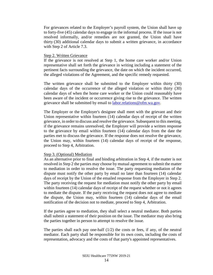For grievances related to the Employer's payroll system, the Union shall have up to forty-five (45) calendar days to engage in the informal process. If the issue is not resolved informally, and/or remedies are not granted, the Union shall have thirty (30) additional calendar days to submit a written grievance, in accordance with Step 2 of Article 7.3.

#### Step 2. Written Grievance

If the grievance is not resolved at Step 1, the home care worker and/or Union representative shall set forth the grievance in writing including a statement of the pertinent facts surrounding the grievance, the date on which the incident occurred, the alleged violations of the Agreement, and the specific remedy requested.

The written grievance shall be submitted to the Employer within thirty (30) calendar days of the occurrence of the alleged violation or within thirty (30) calendar days of when the home care worker or the Union could reasonably have been aware of the incident or occurrence giving rise to the grievance. The written grievance shall be submitted by email to [labor.relations@ofm.wa.gov.](file://filedepot.eclient.wa.lcl/OFM/LRO/Bargaining/Home_Care/17-19/TAs/final%20TA%20package/Ann_Review/labor.relations@ofm.wa.gov)

The Employer or the Employer's designee shall meet with the grievant and their Union representative within fourteen (14) calendar days of receipt of the written grievance, in order to discuss and resolve the grievance. Subsequent to this meeting, if the grievance remains unresolved, the Employer will provide a written response to the grievance by email within fourteen (14) calendar days from the date the parties met to discuss the grievance. If the response does not resolve the grievance, the Union may, within fourteen (14) calendar days of receipt of the response, proceed to Step 4, Arbitration.

#### Step 3. (Optional) Mediation

As an alternative prior to final and binding arbitration in Step 4, if the matter is not resolved in Step 2 the parties may choose by mutual agreement to submit the matter to mediation in order to resolve the issue. The party requesting mediation of the dispute must notify the other party by email no later than fourteen (14) calendar days of receipt by the Union of the emailed response from the Employer in Step 2. The party receiving the request for mediation must notify the other party by email within fourteen (14) calendar days of receipt of the request whether or not it agrees to mediate the dispute. If the party receiving the request does not agree to mediate the dispute, the Union may, within fourteen (14) calendar days of the email notification of the decision not to mediate, proceed to Step 4, Arbitration.

If the parties agree to mediation, they shall select a neutral mediator. Both parties shall submit a statement of their position on the issue. The mediator may also bring the parties together in person to attempt to resolve the issue.

The parties shall each pay one-half  $(1/2)$  the costs or fees, if any, of the neutral mediator. Each party shall be responsible for its own costs, including the costs of representation, advocacy and the costs of that party's appointed representatives.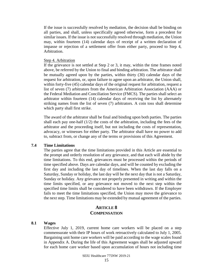If the issue is successfully resolved by mediation, the decision shall be binding on all parties, and shall, unless specifically agreed otherwise, form a precedent for similar issues. If the issue is not successfully resolved through mediation, the Union may, within fourteen (14) calendar days of receipt of a written declaration of impasse or rejection of a settlement offer from either party, proceed to Step 4, Arbitration.

#### Step 4. Arbitration

If the grievance is not settled at Step 2 or 3, it may, within the time frames noted above, be referred by the Union to final and binding arbitration. The arbitrator shall be mutually agreed upon by the parties, within thirty (30) calendar days of the request for arbitration, or, upon failure to agree upon an arbitrator, the Union shall, within forty-five (45) calendar days of the original request for arbitration, request a list of seven (7) arbitrators from the American Arbitration Association (AAA) or the Federal Mediation and Conciliation Service (FMCS). The parties shall select an arbitrator within fourteen (14) calendar days of receiving the list by alternately striking names from the list of seven (7) arbitrators. A coin toss shall determine which party shall first strike.

The award of the arbitrator shall be final and binding upon both parties. The parties shall each pay one-half  $(1/2)$  the costs of the arbitration, including the fees of the arbitrator and the proceeding itself, but not including the costs of representation, advocacy, or witnesses for either party. The arbitrator shall have no power to add to, subtract from, or change any of the terms or provisions of this Agreement.

#### <span id="page-22-0"></span>**7.4 Time Limitations**

The parties agree that the time limitations provided in this Article are essential to the prompt and orderly resolution of any grievance, and that each will abide by the time limitations. To this end, grievances must be processed within the periods of time specified above. Days are calendar days, and will be counted by excluding the first day and including the last day of timelines. When the last day falls on a Saturday, Sunday or holiday, the last day will be the next day that is not a Saturday, Sunday or holiday. Any grievance not properly presented in writing and within the time limits specified, or any grievance not moved to the next step within the specified time limits shall be considered to have been withdrawn. If the Employer fails to meet the time limitations specified, the Union may move the grievance to the next step. Time limitations may be extended by mutual agreement of the parties.

# **ARTICLE 8 COMPENSATION**

#### <span id="page-22-2"></span><span id="page-22-1"></span>**8.1 Wages**

Effective July 1, 2019, current home care workers will be placed on a step commensurate with their IP hours of work retroactively calculated to July 1, 2005. Bargaining unit home care workers will be paid according to the wage scales found in Appendix A. During the life of this Agreement wages shall be adjusted upward for each home care worker based upon accumulation of hours not including time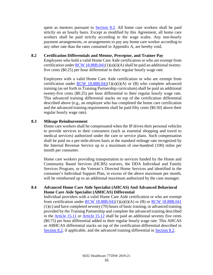spent as mentors pursuant to **Section 8.2**. All home care workers shall be paid strictly on an hourly basis. Except as modified by this Agreement, all home care workers shall be paid strictly according to the wage scales. Any non-hourly payment arrangements, or arrangements to pay any home care worker according to any other rate than the rates contained in Appendix A, are hereby void.

#### <span id="page-23-0"></span>**8.2 Certification Differentials and Mentor, Preceptor, and Trainer Pay**

Employees who hold a valid Home Care Aide certification or who are exempt from certification under RCW  $18.88B.041(1)(a)(i)(A)$  shall be paid an additional twentyfive cents (\$0.25) per hour differential to their regular hourly wage rate.

Employees with a valid Home Care Aide certification or who are exempt from certification under  $RCW$  18.88B.041(1)(a)(i)(A) or (B) who complete advanced training (as set forth in Training Partnership curriculum) shall be paid an additional twenty-five cents (\$0.25) per hour differential to their regular hourly wage rate. This advanced training differential stacks on top of the certification differential described above (e.g., an employee who has completed the home care certification and the advanced training requirements shall be paid fifty cents [\$0.50] above their regular hourly wage rate).

# <span id="page-23-1"></span>**8.3 Mileage Reimbursement**

Home care workers shall be compensated when the IP drives their personal vehicles to provide services to their consumers (such as essential shopping and travel to medical services) authorized under the care or service plans. Such compensation shall be paid on a per-mile-driven basis at the standard mileage rate recognized by the Internal Revenue Service up to a maximum of one-hundred (100) miles per month per consumer.

Home care workers providing transportation to services funded by the Home and Community Based Services (HCBS) waivers, the DDA Individual and Family Services Program, or the Veteran's Directed Home Services and identified in the consumer's Individual Support Plan, in excess of the above maximum per month, will be reimbursed up to an additional maximum authorized by the case manager.

# <span id="page-23-2"></span>**8.4 Advanced Home Care Aide Specialist (AHCAS) And Advanced Behavioral Home Care Aide Specialist (ABHCAS) Differential**

Individual providers with a valid Home Care Aide certification or who are exempt from certification under RCW  $18.88B.041(1)(a)(i)(A)$  or (B) or RCW  $18.88B.041$ (1)(c) and have completed seventy (70) hours of basic training, or advanced training provided by the Training Partnership and complete the advanced training described in the [Article 15.11](#page-33-2) or [Article 15.12](#page-34-0) shall be paid an additional seventy five cents (\$0.75) per hour differential added to their regular hourly wage rate. This AHCAS or ABHCAS differential stacks on top of the certification differential described in [Section 8.2,](#page-23-0) if applicable, and the advanced training differential in [Section 8.2.](#page-23-0)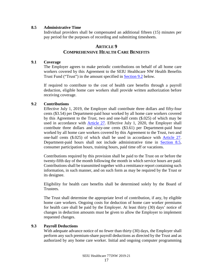## <span id="page-24-0"></span>**8.5 Administrative Time**

Individual providers shall be compensated an additional fifteen (15) minutes per pay period for the purposes of recording and submitting timesheets.

# **ARTICLE 9 COMPREHENSIVE HEALTH CARE BENEFITS**

#### <span id="page-24-2"></span><span id="page-24-1"></span>**9.1 Coverage**

The Employer agrees to make periodic contributions on behalf of all home care workers covered by this Agreement to the SEIU Healthcare NW Health Benefits Trust Fund ("Trust") in the amount specified in [Section 9.2](#page-24-3) below.

If required to contribute to the cost of health care benefits through a payroll deduction, eligible home care workers shall provide written authorization before receiving coverage.

# <span id="page-24-3"></span>**9.2 Contributions**

Effective July 1, 2019, the Employer shall contribute three dollars and fifty-four cents (\$3.54) per Department-paid hour worked by all home care workers covered by this Agreement to the Trust, two and one-half cents (\$.025) of which may be used in accordance with [Article 27.](#page-43-5) Effective July 1, 2020, the Employer shall contribute three dollars and sixty-one cents (\$3.61) per Department-paid hour worked by all home care workers covered by this Agreement to the Trust, two and one-half cents (\$.025) of which shall be used in accordance with Article 27. Department-paid hours shall not include administrative time in [Section 8.5,](#page-24-0) consumer participation hours, training hours, paid time off or vacations.

Contributions required by this provision shall be paid to the Trust on or before the twenty-fifth day of the month following the month in which service hours are paid. Contributions shall be transmitted together with a remittance report containing such information, in such manner, and on such form as may be required by the Trust or its designee.

Eligibility for health care benefits shall be determined solely by the Board of Trustees.

The Trust shall determine the appropriate level of contribution, if any, by eligible home care workers. Ongoing costs for deduction of home care worker premiums for health care shall be paid by the Employer. At least thirty (30) days' notice of changes in deduction amounts must be given to allow the Employer to implement requested changes.

# <span id="page-24-4"></span>**9.3 Payroll Deductions**

With adequate advance notice of no fewer than thirty (30) days, the Employer shall perform any such premium-share payroll deductions as directed by the Trust and as authorized by any home care worker. Initial and ongoing computer programming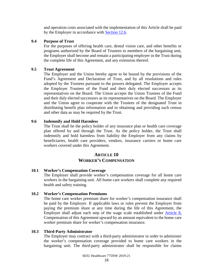and operation costs associated with the implementation of this Article shall be paid by the Employer in accordance with [Section 12.6.](#page-28-0)

## <span id="page-25-0"></span>**9.4 Purpose of Trust**

For the purposes of offering health care, dental vision care, and other benefits or programs authorized by the Board of Trustees to members of the bargaining unit, the Employer shall become and remain a participating employer in the Trust during the complete life of this Agreement, and any extension thereof.

## <span id="page-25-1"></span>**9.5 Trust Agreement**

The Employer and the Union hereby agree to be bound by the provisions of the Fund's Agreement and Declaration of Trust, and by all resolutions and rules adopted by the Trustees pursuant to the powers delegated. The Employer accepts the Employer Trustees of the Fund and their duly elected successors as its representatives on the Board. The Union accepts the Union Trustees of the Fund and their duly elected successors as its representatives on the Board. The Employer and the Union agree to cooperate with the Trustees of the designated Trust in distributing benefit plan information and in obtaining and providing such census and other data as may be required by the Trust.

## <span id="page-25-2"></span>**9.6 Indemnify and Hold Harmless**

The Trust shall be the policy holder of any insurance plan or health care coverage plan offered by and through the Trust. As the policy holder, the Trust shall indemnify and hold harmless from liability the Employer from any claims by beneficiaries, health care providers, vendors, insurance carriers or home care workers covered under this Agreement.

# **ARTICLE 10 WORKER'S COMPENSATION**

# <span id="page-25-4"></span><span id="page-25-3"></span>**10.1 Worker's Compensation Coverage**

The Employer shall provide worker's compensation coverage for all home care workers in the bargaining unit. All home care workers shall complete any required health and safety training.

# <span id="page-25-5"></span>**10.2 Worker's Compensation Premiums**

The home care worker premium share for worker's compensation insurance shall be paid by the Employer. If applicable laws or rules prevent the Employer from paying the premium share at any time during the life of this Agreement, the Employer shall adjust each step of the wage scale established under [Article 8,](#page-22-1) Compensation of this Agreement upward by an amount equivalent to the home care worker premium share for worker's compensation insurance.

#### <span id="page-25-6"></span>**10.3 Third-Party Administrator**

The Employer may contract with a third-party administrator in order to administer the worker's compensation coverage provided to home care workers in the bargaining unit. The third-party administrator shall be responsible for claims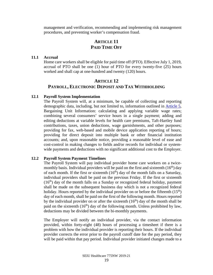management and verification, recommending and implementing risk management procedures, and preventing worker's compensation fraud.

# **ARTICLE 11 PAID TIME OFF**

#### <span id="page-26-1"></span><span id="page-26-0"></span>**11.1 Accrual**

Home care workers shall be eligible for paid time off (PTO). Effective July 1, 2019, accrual of PTO shall be one (1) hour of PTO for every twenty-five (25) hours worked and shall cap at one-hundred and twenty (120) hours.

# **ARTICLE 12 PAYROLL, ELECTRONIC DEPOSIT AND TAX WITHHOLDING**

#### <span id="page-26-3"></span><span id="page-26-2"></span>**12.1 Payroll System Implementation**

The Payroll System will, at a minimum, be capable of collecting and reporting demographic data, including, but not limited to, information outlined in [Article 5,](#page-15-0) Bargaining Unit Information: calculating and applying variable wage rates; combining several consumers' service hours in a single payment; adding and editing deductions at variable levels for health care premiums, Taft-Hartley fund contributions, taxes, union deductions, wage garnishments, and other purposes; providing for fax, web-based and mobile device application reporting of hours; providing for direct deposit into multiple bank or other financial institution accounts; and, upon reasonable notice, providing a reasonable level of ease and cost-control in making changes to fields and/or records for individual or systemwide payments and deductions with no significant additional cost to the Employer.

#### <span id="page-26-4"></span>**12.2 Payroll System Payment Timelines**

The Payroll System will pay individual provider home care workers on a twicemonthly basis. Individual providers will be paid on the first and sixteenth  $(16<sup>th</sup>)$  day of each month. If the first or sixteenth  $(16<sup>th</sup>)$  day of the month falls on a Saturday, individual providers shall be paid on the previous Friday. If the first or sixteenth  $(16<sup>th</sup>)$  day of the month falls on a Sunday or recognized federal holiday, payment shall be made on the subsequent business day which is not a recognized federal holiday. Hours reported by the individual provider on or before the fifteenth  $(15<sup>th</sup>)$ day of each month, shall be paid on the first of the following month. Hours reported by the individual provider on or after the sixteenth  $(16<sup>th</sup>)$  day of the month shall be paid on the sixteenth  $(16<sup>th</sup>)$  day of the following month. Unless prohibited by law, deductions may be divided between the bi-monthly payments.

The Employer will notify an individual provider, via the contact information provided, within forty-eight (48) hours of processing a timesheet if there is a problem with how the individual provider is reporting their hours. If the individual provider corrects the error prior to the payroll cutoff date for the pay period, they will be paid within that pay period. Individual provider initiated changes made to a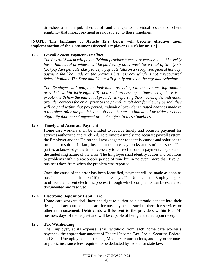timesheet after the published cutoff and changes to individual provider or client eligibility that impact payment are not subject to these timelines.

## **[NOTE: The language of Article 12.2 below will become effective upon implementation of the Consumer Directed Employer (CDE) for an IP.]**

#### <span id="page-27-0"></span>**12.2** *Payroll System Payment Timelines*

*The Payroll System will pay individual provider home care workers on a bi-weekly basis. Individual providers will be paid every other week for a total of twenty-six (26) paydays per calendar year. If a pay date falls on a recognized federal holiday, payment shall be made on the previous business day which is not a recognized federal holiday. The State and Union will jointly agree on the pay-date schedule.*

*The Employer will notify an individual provider, via the contact information provided, within forty-eight (48) hours of processing a timesheet if there is a problem with how the individual provider is reporting their hours. If the individual provider corrects the error prior to the payroll cutoff date for the pay period, they will be paid within that pay period. Individual provider initiated changes made to a timesheet after the published cutoff and changes to individual provider or client eligibility that impact payment are not subject to these timelines.*

## <span id="page-27-1"></span>**12.3 Timely and Accurate Payment**

Home care workers shall be entitled to receive timely and accurate payment for services authorized and rendered. To promote a timely and accurate payroll system, the Employer and the Union shall work together to identify causes and solutions to problems resulting in late, lost or inaccurate paychecks and similar issues. The parties acknowledge the time necessary to correct errors in payments depends on the underlying nature of the error. The Employer shall identify causes and solutions to problems within a reasonable period of time but in no event more than five (5) business days from when the problem was reported.

Once the cause of the error has been identified, payment will be made as soon as possible but no later than ten (10) business days. The Union and the Employer agree to utilize the current electronic process through which complaints can be escalated, documented and resolved.

#### <span id="page-27-2"></span>**12.4 Electronic Deposit or Debit Card**

Home care workers shall have the right to authorize electronic deposit into their designated account or debit care for any payment issued to them for services or other reimbursement. Debit cards will be sent to the providers within four (4) business days of the request and will be capable of being activated upon receipt.

#### <span id="page-27-3"></span>**12.5 Tax Withholding**

The Employer, at its expense, shall withhold from each home care worker's paycheck the appropriate amount of Federal Income Tax, Social Security, Federal and State Unemployment Insurance, Medicare contributions, and any other taxes or public insurance fees required to be deducted by federal or state law.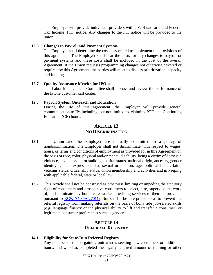The Employer will provide individual providers with a W-4 tax form and Federal Tax Income (FIT) notice. Any changes to the FIT notice will be provided to the union.

#### <span id="page-28-0"></span>**12.6 Changes to Payroll and Payment Systems**

The Employer shall determine the costs associated to implement the provisions of this agreement. The Employer shall bear the costs for any changes to payroll or payment systems and these costs shall be included in the cost of the overall Agreement. If the Union requests programming changes not otherwise covered or required by this Agreement, the parties will meet to discuss prioritization, capacity and funding.

#### <span id="page-28-1"></span>**12.7 Quality Assurance Metrics for IPOne**

The Labor Management Committee shall discuss and review the performance of the IPOne customer call center.

#### <span id="page-28-2"></span>**12.8 Payroll System Outreach and Education**

During the life of this agreement, the Employer will provide general communication to IPs including, but not limited to, claiming PTO and Continuing Education (CE) hours.

# **ARTICLE 13 NO DISCRIMINATION**

- <span id="page-28-3"></span>**13.1** The Union and the Employer are mutually committed to a policy of nondiscrimination. The Employer shall not discriminate with respect to wages, hours, or terms and conditions of employment as provided for in this Agreement on the basis of race, color, physical and/or mental disability, being a victim of domestic violence, sexual assault or stalking, marital status, national origin, ancestry, gender identity, gender expression, sex, sexual orientation, age, political belief, faith, veterans status, citizenship status, union membership and activities and in keeping with applicable federal, state or local law.
- **13.2** This Article shall not be construed as otherwise limiting or impeding the statutory right of consumers and prospective consumers to select, hire, supervise the work of, and terminate any home care worker providing services to them as provided pursuant to [RCW 74.39A.270\(4\).](http://apps.leg.wa.gov/rcw/default.aspx?cite=74.39A.270) Nor shall it be interpreted so as to prevent the referral registry from making referrals on the basis of bona fide job-related skills (e.g. language fluency or the physical ability to lift and transfer a consumer) or legitimate consumer preferences such as gender.

# **ARTICLE 14 REFERRAL REGISTRY**

#### <span id="page-28-5"></span><span id="page-28-4"></span>**14.1 Eligibility for State-Run Referral Registry**

Any member of the bargaining unit who is seeking new consumers or additional hours, and who has completed the legally required amount of training or other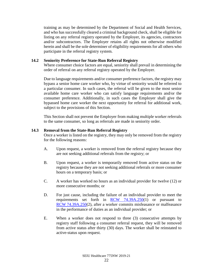training as may be determined by the Department of Social and Health Services, and who has successfully cleared a criminal background check, shall be eligible for listing on any referral registry operated by the Employer, its agencies, contractors and/or subcontractors. The Employer retains all rights not otherwise modified herein and shall be the sole determiner of eligibility requirements for all others who participate in the referral registry system.

# <span id="page-29-0"></span>**14.2 Seniority Preference for State-Run Referral Registry**

Where consumer choice factors are equal, seniority shall prevail in determining the order of referral on any referral registry operated by the Employer.

Due to language requirements and/or consumer preference factors, the registry may bypass a senior home care worker who, by virtue of seniority would be referred to a particular consumer. In such cases, the referral will be given to the most senior available home care worker who can satisfy language requirements and/or the consumer preference. Additionally, in such cases the Employer shall give the bypassed home care worker the next opportunity for referral for additional work, subject to the provisions of this Section.

This Section shall not prevent the Employer from making multiple worker referrals to the same consumer, so long as referrals are made in seniority order.

## <span id="page-29-1"></span>**14.3 Removal from the State-Run Referral Registry**

Once a worker is listed on the registry, they may only be removed from the registry for the following reasons:

- A. Upon request, a worker is removed from the referral registry because they are not seeking additional referrals from the registry; or
- B. Upon request, a worker is temporarily removed from active status on the registry because they are not seeking additional referrals or more consumer hours on a temporary basis; or
- C. A worker has worked no hours as an individual provider for twelve (12) or more consecutive months; or
- D. For just cause, including the failure of an individual provider to meet the requirements set forth in [RCW 74.39A.250\(](file://filedepot.eclient.wa.lcl/OFM/LRO/Bargaining/Home_Care/15-17/Track_Changes/RCW%2074.39A.250)1) or pursuant to RCW [74.39A.250\(](file://filedepot.eclient.wa.lcl/OFM/LRO/Bargaining/Home_Care/15-17/Track_Changes/RCW%2074.39A.250)2), after a worker commits misfeasance or malfeasance in the performance of duties as an individual provider; or
- E. When a worker does not respond to three (3) consecutive attempts by registry staff following a consumer referral request, they will be removed from active status after thirty (30) days. The worker shall be reinstated to active-status upon request.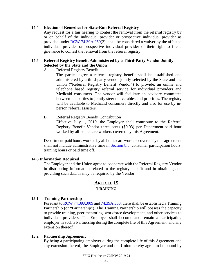#### <span id="page-30-0"></span>**14.4 Election of Remedies for State-Run Referral Registry**

Any request for a fair hearing to contest the removal from the referral registry by or on behalf of the individual provider or prospective individual provider as provided under [RCW 74.39A.250\(](file://filedepot.eclient.wa.lcl/OFM/LRO/Bargaining/Home_Care/15-17/Track_Changes/RCW%2074.39A.250)2), shall be considered a waiver by the affected individual provider or prospective individual provider of their right to file a grievance to contest the removal from the referral registry.

# <span id="page-30-1"></span>**14.5 Referral Registry Benefit Administered by a Third-Party Vendor Jointly Selected by the State and the Union**

## A. Referral Registry Benefit

The parties agree a referral registry benefit shall be established and administered by a third-party vendor jointly selected by the State and the Union ("Referral Registry Benefit Vendor") to provide, an online and telephone based registry referral service for individual providers and Medicaid consumers. The vendor will facilitate an advisory committee between the parties to jointly steer deliverables and priorities. The registry will be available to Medicaid consumers directly and also for use by inperson referral assisters.

## B. Referral Registry Benefit Contribution

Effective July 1, 2019, the Employer shall contribute to the Referral Registry Benefit Vendor three cents (\$0.03) per Department-paid hour worked by all home care workers covered by this Agreement.

Department-paid hours worked by all home care workers covered by this agreement shall not include administrative time in [Section 8.5,](#page-24-0) consumer participation hours, training hours or paid time off.

# <span id="page-30-2"></span>**14.6 Information Required**

The Employer and the Union agree to cooperate with the Referral Registry Vendor in distributing information related to the registry benefit and in obtaining and providing such data as may be required by the Vendor.

# **ARTICLE 15 TRAINING**

#### <span id="page-30-4"></span><span id="page-30-3"></span>**15.1 Training Partnership**

Pursuant to [RCW 74.39A.009](http://app.leg.wa.gov/rcw/default.aspx?cite=74.39A.009) and [74.39A.360,](http://apps.leg.wa.gov/rcw/default.aspx?cite=74.39A.360) there shall be established a Training Partnership (or "Partnership"). The Training Partnership will possess the capacity to provide training, peer mentoring, workforce development, and other services to individual providers. The Employer shall become and remain a participating employer in such a Partnership during the complete life of this Agreement, and any extension thereof.

#### <span id="page-30-5"></span>**15.2 Partnership Agreement**

By being a participating employer during the complete life of this Agreement and any extension thereof, the Employer and the Union hereby agree to be bound by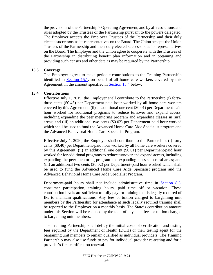the provisions of the Partnership's Operating Agreement, and by all resolutions and rules adopted by the Trustees of the Partnership pursuant to the powers delegated. The Employer accepts the Employer Trustees of the Partnership and their duly elected successors as its representatives on the Board. The Union accepts the Union Trustees of the Partnership and their duly elected successors as its representatives on the Board. The Employer and the Union agree to cooperate with the Trustees of the Partnership in distributing benefit plan information and in obtaining and providing such census and other data as may be required by the Partnership.

#### <span id="page-31-0"></span>**15.3 Coverage**

The Employer agrees to make periodic contributions to the Training Partnership identified in [Section 15.1,](#page-30-4) on behalf of all home care workers covered by this Agreement, in the amount specified in [Section 15.4](#page-31-1) below.

# <span id="page-31-1"></span>**15.4 Contributions**

Effective July 1, 2019, the Employer shall contribute to the Partnership (i) fortythree cents (\$0.43) per Department-paid hour worked by all home care workers covered by this Agreement; (ii) an additional one cent (\$0.01) per Department-paid hour worked for additional programs to reduce turnover and expand access, including expanding the peer mentoring program and expanding classes in rural areas; and (iii) an additional two cents (\$0.02) per Department paid hour worked which shall be used to fund the Advanced Home Care Aide Specialist program and the Advanced Behavioral Home Care Specialist Program.

Effective July 1, 2020, the Employer shall contribute to the Partnership; (i) forty cents (\$0.40) per Department-paid hour worked by all home care workers covered by this Agreement; (ii) an additional one cent (\$0.01) per Department-paid hour worked for for additional programs to reduce turnover and expand access, including expanding the peer mentoring program and expanding classes in rural areas; and (iii) an additional two cents (\$0.02) per Department-paid hour worked which shall be used to fund the Advanced Home Care Aide Specialist program and the Advanced Behavioral Home Care Aide Specialist Program.

Department-paid hours shall not include administrative time in [Section 8.5,](#page-24-0) consumer participation, training hours, paid time off or vacation. These contribution levels are sufficient to fully pay for training that is legally required of IPs to maintain qualifications. Any fees or tuition charged to bargaining unit members by the Partnership for attendance at such legally required training shall be reported to the Employer on a monthly basis. The State's contribution amount under this Section will be reduced by the total of any such fees or tuition charged to bargaining unit members.

The Training Partnership shall defray the initial costs of certification and testing fees required by the Department of Health (DOH) or their testing agent for the bargaining unit members to remain qualified as individual providers. The Training Partnership may also use funds to pay for individual provider re-testing and for a provider's first certification renewal.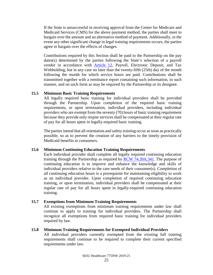If the State is unsuccessful in receiving approval from the Center for Medicare and Medicaid Services (CMS) for the above payment method, the parties shall meet to bargain over the amount and an alternative method of payment. Additionally, in the event any other significant change in legal training requirements occurs, the parties agree to bargain over the effects of changes.

Contributions required by this Section shall be paid to the Partnership on the pay dates(s) determined by the parties following the State's selection of a payroll vendor in accordance with [Article 12,](#page-26-2) Payroll, Electronic Deposit, and Tax Withholding, but in any case no later than the twenty-fifth (25th) day of the month following the month for which service hours are paid. Contributions shall be transmitted together with a remittance report containing such information, in such manner, and on such form as may be required by the Partnership or its designee.

#### <span id="page-32-0"></span>**15.5 Minimum Basic Training Requirements**

All legally required basic training for individual providers shall be provided through the Partnership. Upon completion of the required basic training requirements, or upon termination, individual providers, including individual providers who are exempt from the seventy (70) hours of basic training requirement because they provide only respite services shall be compensated at their regular rate of pay for all hours spent in legally-required basic training.

The parties intend that all orientation and safety training occur as soon as practically possible, so as to prevent the creation of any barriers to the timely provision of Medicaid benefits to consumers.

#### <span id="page-32-1"></span>**15.6 Minimum Continuing Education Training Requirements**

Each individual provider shall complete all legally required continuing education training through the Partnership as required by [RCW 74.39A.341.](http://app.leg.wa.gov/RCW/default.aspx?Cite=74.39A.341) The purpose of continuing education is to improve and enhance the knowledge and skills of individual providers relative to the care needs of their consumer(s). Completion of all continuing education hours is a prerequisite for maintaining eligibility to work as an individual provider. Upon completion of required continuing education training, or upon termination, individual providers shall be compensated at their regular rate of pay for all hours spent in legally-required continuing education training.

#### <span id="page-32-2"></span>**15.7 Exemptions from Minimum Training Requirements**

All existing exemptions from minimum training requirements under law shall continue to apply to training for individual providers. The Partnership shall recognize all exemptions from required basic training for individual providers required by law.

#### <span id="page-32-3"></span>**15.8 Minimum Training Requirements for Exempted Individual Providers**

All individual providers currently exempted from the existing full training requirements shall continue to be required to complete their current specified requirements under law.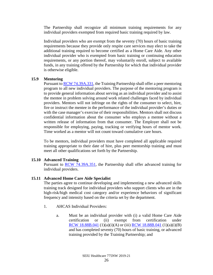The Partnership shall recognize all minimum training requirements for any individual providers exempted from required basic training required by law.

Individual providers who are exempt from the seventy (70) hours of basic training requirements because they provide only respite care services may elect to take the additional training required to become certified as a Home Care Aide. Any other individual provider who is exempted from basic training or continuing education requirements, or any portion thereof, may voluntarily enroll, subject to available funds, in any training offered by the Partnership for which that individual provider is otherwise eligible.

## <span id="page-33-0"></span>**15.9 Mentoring**

Pursuant to **RCW 74.39A.331**, the Training Partnership shall offer a peer mentoring program to all new individual providers. The purpose of the mentoring program is to provide general information about serving as an individual provider and to assist the mentee in problem solving around work related challenges faced by individual providers. Mentors will not infringe on the rights of the consumer to select, hire, fire or instruct the mentee in the performance of the individual provider's duties or with the case manager's exercise of their responsibilities. Mentors shall not discuss confidential information about the consumer who employs a mentee without a written release of information from that consumer. The Employer shall not be responsible for employing, paying, tracking or verifying hours of mentor work. Time worked as a mentor will not count toward cumulative care hours.

To be mentors, individual providers must have completed all applicable required training appropriate to their date of hire, plus peer mentorship training and must meet all other qualifications set forth by the Partnership.

# <span id="page-33-1"></span>**15.10 Advanced Training**

Pursuant to [RCW 74.39A.351,](http://app.leg.wa.gov/RCW/default.aspx?cite=74.39A.351) the Partnership shall offer advanced training for individual providers.

# <span id="page-33-2"></span>**15.11 Advanced Home Care Aide Specialist**

The parties agree to continue developing and implementing a new advanced skills training track designed for individual providers who support clients who are in the high-risk/high medical cost category and/or experience behaviors of significant frequency and intensity based on the criteria set by the department.

- 1. AHCAS Individual Providers:
	- a. Must be an individual provider with (i) a valid Home Care Aide certification or (ii) exempt from certification under RCW [18.88B.041](http://app.leg.wa.gov/RCW/default.aspx?cite=18.88B.041) (1)(a)(i)(A) or (iii) [RCW 18.88B.041](http://app.leg.wa.gov/RCW/default.aspx?cite=18.88B.041) (1)(a)(i)(B) and has completed seventy (70) hours of basic training, or advanced training provided by the Training Partnership; and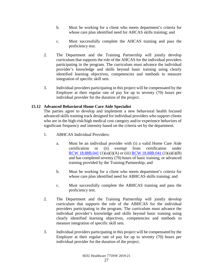- b. Must be working for a client who meets department's criteria for whose care plan identified need for AHCAS skills training; and
- c. Must successfully complete the AHCAS training and pass the proficiency test.
- 2. The Department and the Training Partnership will jointly develop curriculum that supports the role of the AHCAS for the individual providers participating in the program. The curriculum must advance the individual provider's knowledge and skills beyond basic training using clearly identified learning objectives, competencies and methods to measure integration of specific skill sets.
- 3. Individual providers participating in this project will be compensated by the Employer at their regular rate of pay for up to seventy (70) hours per individual provider for the duration of the project.

# <span id="page-34-0"></span>**15.12 Advanced Behavioral Home Care Aide Specialist**

The parties agree to develop and implement a new behavioral health focused advanced skills training track designed for individual providers who support clients who are in the high-risk/high medical cost category and/or experience behaviors of significant frequency and intensity based on the criteria set by the department.

- 1. ABHCAS Individual Providers:
	- a. Must be an individual provider with (i) a valid Home Care Aide certification or (ii) exempt from certification under RCW [18.88B.041](http://app.leg.wa.gov/RCW/default.aspx?cite=18.88B.041) (1)(a)(i)(A) or (iii) [RCW 18.88B.041](http://app.leg.wa.gov/RCW/default.aspx?cite=18.88B.041) (1)(a)(i)(B) and has completed seventy (70) hours of basic training, or advanced training provided by the Training Partnership; and
	- b. Must be working for a client who meets department's criteria for whose care plan identified need for ABHCAS skills training; and
	- c. Must successfully complete the ABHCAS training and pass the proficiency test.
- 2. The Department and the Training Partnership will jointly develop curriculum that supports the role of the ABHCAS for the individual providers participating in the program. The curriculum must advance the individual provider's knowledge and skills beyond basic training using clearly identified learning objectives, competencies and methods to measure integration of specific skill sets.
- 3. Individual providers participating in this project will be compensated by the Employer at their regular rate of pay for up to seventy (70) hours per individual provider for the duration of the project.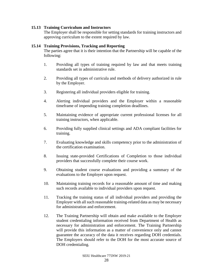# <span id="page-35-0"></span>**15.13 Training Curriculum and Instructors**

The Employer shall be responsible for setting standards for training instructors and approving curriculum to the extent required by law.

# <span id="page-35-1"></span>**15.14 Training Provisions, Tracking and Reporting**

The parties agree that it is their intention that the Partnership will be capable of the following:

- 1. Providing all types of training required by law and that meets training standards set in administrative rule.
- 2. Providing all types of curricula and methods of delivery authorized in rule by the Employer.
- 3. Registering all individual providers eligible for training.
- 4. Alerting individual providers and the Employer within a reasonable timeframe of impending training completion deadlines.
- 5. Maintaining evidence of appropriate current professional licenses for all training instructors, when applicable.
- 6. Providing fully supplied clinical settings and ADA compliant facilities for training.
- 7. Evaluating knowledge and skills competency prior to the administration of the certification examination.
- 8. Issuing state-provided Certifications of Completion to those individual providers that successfully complete their course work.
- 9. Obtaining student course evaluations and providing a summary of the evaluations to the Employer upon request.
- 10. Maintaining training records for a reasonable amount of time and making such records available to individual providers upon request.
- 11. Tracking the training status of all individual providers and providing the Employer with all such reasonable training-related data as may be necessary for administration and enforcement.
- 12. The Training Partnership will obtain and make available to the Employer student credentialing information received from Department of Health as necessary for administration and enforcement. The Training Partnership will provide this information as a matter of convenience only and cannot guarantee the accuracy of the data it receives regarding DOH credentials. The Employers should refer to the DOH for the most accurate source of DOH credentialing.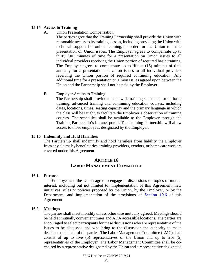# <span id="page-36-0"></span>**15.15 Access to Training**

## A. Union Presentation Compensation

The parties agree that the Training Partnership shall provide the Union with reasonable access to its training classes, including providing the Union with technical support for online learning, in order for the Union to make presentation on Union issues. The Employer agrees to compensate up to thirty (30) minutes of time for a presentation on Union issues to all individual providers receiving the Union portion of required basic training. The Employer agrees to compensate up to fifteen (15) minutes of time annually for a presentation on Union issues to all individual providers receiving the Union portion of required continuing education. Any additional time for a presentation on Union issues agreed upon between the Union and the Partnership shall not be paid by the Employer.

#### B. Employer Access to Training

The Partnership shall provide all statewide training schedules for all basic training, advanced training and continuing education courses, including dates, locations, times, seating capacity and the primary language in which the class will be taught, to facilitate the Employer's observation of training courses. The schedules shall be available to the Employer through the Training Partnership's intranet portal. The Training Partnership will allow access to those employees designated by the Employer.

## <span id="page-36-1"></span>**15.16 Indemnify and Hold Harmless**

The Partnership shall indemnify and hold harmless from liability the Employer from any claims by beneficiaries, training providers, vendors, or home care workers covered under this Agreement.

# **ARTICLE 16 LABOR MANAGEMENT COMMITTEE**

#### <span id="page-36-3"></span><span id="page-36-2"></span>**16.1 Purpose**

The Employer and the Union agree to engage in discussions on topics of mutual interest, including but not limited to: implementation of this Agreement; new initiatives, rules or policies proposed by the Union, by the Employer, or by the Department; and implementation of the provisions of [Section](#page-39-0) 19.6 of this Agreement.

#### <span id="page-36-4"></span>**16.2 Meetings**

The parties shall meet monthly unless otherwise mutually agreed. Meetings should be held at mutually convenient times and ADA accessible locations. The parties are encouraged to select participants for these discussions who are representative of the issues to be discussed and who bring to the discussion the authority to make decisions on behalf of the parties. The Labor Management Committee (LMC) shall consist of up to five (5) representatives of the Union and up to five (5) representatives of the Employer. The Labor Management Committee shall be cochaired by a representative designated by the Union and a representative designated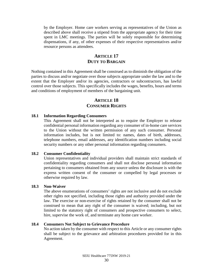by the Employer. Home care workers serving as representatives of the Union as described above shall receive a stipend from the appropriate agency for their time spent in LMC meetings. The parties will be solely responsible for determining dispensations, if any, of other expenses of their respective representatives and/or resource persons as attendees.

# **ARTICLE 17 DUTY TO BARGAIN**

<span id="page-37-0"></span>Nothing contained in this Agreement shall be construed as to diminish the obligation of the parties to discuss and/or negotiate over those subjects appropriate under the law and to the extent that the Employer and/or its agencies, contractors or subcontractors, has lawful control over those subjects. This specifically includes the wages, benefits, hours and terms and conditions of employment of members of the bargaining unit.

# **ARTICLE 18 CONSUMER RIGHTS**

#### <span id="page-37-2"></span><span id="page-37-1"></span>**18.1 Information Regarding Consumers**

This Agreement shall not be interpreted as to require the Employer to release confidential personal information regarding any consumer of in-home care services to the Union without the written permission of any such consumer. Personal information includes, but is not limited to: names, dates of birth, addresses, telephone numbers, email addresses, any identification numbers including social security numbers or any other personal information regarding consumers.

#### <span id="page-37-3"></span>**18.2 Consumer Confidentiality**

Union representatives and individual providers shall maintain strict standards of confidentiality regarding consumers and shall not disclose personal information pertaining to consumers obtained from any source unless the disclosure is with the express written consent of the consumer or compelled by legal processes or otherwise required by law.

#### <span id="page-37-4"></span>**18.3 Non-Waiver**

The above enumerations of consumers' rights are not inclusive and do not exclude other rights not specified, including those rights and authority provided under the law. The exercise or non-exercise of rights retained by the consumer shall not be construed to mean that any right of the consumer is waived; including, but not limited to the statutory right of consumers and prospective consumers to select, hire, supervise the work of, and terminate any home care worker.

#### <span id="page-37-5"></span>**18.4 Consumers Not Subject to Grievance Procedure**

No action taken by the consumer with respect to this Article or any consumer rights shall be subject to the grievance and arbitration procedures provided for in this Agreement.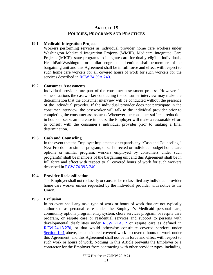# **ARTICLE 19 POLICIES, PROGRAMS AND PRACTICES**

#### <span id="page-38-1"></span><span id="page-38-0"></span>**19.1 Medicaid Integration Projects**

Workers performing services as individual provider home care workers under Washington Medicaid Integration Projects (WMIP), Medicare Integrated Care Projects (MICP), state programs to integrate care for dually eligible individuals, HealthPathWashington, or similar programs and entities shall be members of the bargaining unit and this Agreement shall be in full force and effect with respect to such home care workers for all covered hours of work for such workers for the services described in [RCW 74.39A.240.](http://apps.leg.wa.gov/rcw/default.aspx?cite=74.39A.240)

#### <span id="page-38-2"></span>**19.2 Consumer Assessments**

Individual providers are part of the consumer assessment process. However, in some situations the caseworker conducting the consumer interview may make the determination that the consumer interview will be conducted without the presence of the individual provider. If the individual provider does not participate in the consumer interview, the caseworker will talk to the individual provider prior to completing the consumer assessment. Whenever the consumer suffers a reduction in hours or seeks an increase in hours, the Employer will make a reasonable effort to consult with the consumer's individual provider prior to making a final determination.

#### <span id="page-38-3"></span>**19.3 Cash and Counseling**

In the event that the Employer implements or expands any "Cash and Counseling," New Freedom or similar program, or self-directed or individual budget home care options or similar program, workers employed by consumers under such program(s) shall be members of the bargaining unit and this Agreement shall be in full force and effect with respect to all covered hours of work for such workers described in [RCW 74.39A.240.](http://apps.leg.wa.gov/rcw/default.aspx?cite=74.39A.240)

#### <span id="page-38-4"></span>**19.4 Provider Reclassification**

The Employer shall not reclassify or cause to be reclassified any individual provider home care worker unless requested by the individual provider with notice to the Union.

# <span id="page-38-5"></span>**19.5 Exclusion**

In no event shall any task, type of work or hours of work that are not typically authorized as personal care under the Employer's Medicaid personal care, community options program entry system, chore services program, or respite care program, or respite care or residential services and support to persons with developmental disabilities under **RCW** 71A.12 or respite care as defined in RCW [74.13.270,](http://apps.leg.wa.gov/rcw/default.aspx?cite=74.13.270) or that would otherwise constitute covered services under [Section](#page-38-1) 19.1 above, be considered covered work or covered hours of work under this Agreement, and this Agreement shall not be in force and effect with respect to such work or hours of work. Nothing in this Article prevents the Employer or a contractor for the Employer from contracting with other provider types, including,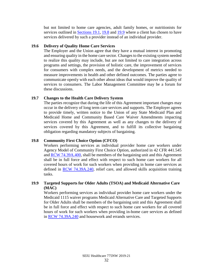but not limited to home care agencies, adult family homes, or nutritionists for services outlined in [Sections](#page-38-1) 19.1, [19.8](#page-39-2) and [19.9](#page-39-3) where a client has chosen to have services delivered by such a provider instead of an individual provider.

#### <span id="page-39-0"></span>**19.6 Delivery of Quality Home Care Services**

The Employer and the Union agree that they have a mutual interest in promoting and ensuring quality in the home care sector. Changes to the existing system needed to realize this quality may include, but are not limited to care integration across programs and settings, the provision of holistic care, the improvement of services for consumers with complex needs, and the development of metrics needed to measure improvements in health and other defined outcomes. The parties agree to communicate openly with each other about ideas that would improve the quality of services to consumers. The Labor Management Committee may be a forum for these discussions.

# <span id="page-39-1"></span>**19.7 Changes to the Health Care Delivery System**

The parties recognize that during the life of this Agreement important changes may occur in the delivery of long term care services and supports. The Employer agrees to provide timely, written notice to the Union of any State Medicaid Plan and Medicaid Home and Community Based Care Waiver Amendments impacting services covered by this Agreement as well as any changes to the delivery of services covered by this Agreement, and to fulfill its collective bargaining obligation regarding mandatory subjects of bargaining.

# <span id="page-39-2"></span>**19.8 Community First Choice Option (CFCO)**

Workers performing services as individual provider home care workers under Agency Model of Community First Choice Option, authorized in 42 CFR 441.545 and [RCW 74.39A.400,](http://app.leg.wa.gov/RCW/default.aspx?cite=74.39A.400) shall be members of the bargaining unit and this Agreement shall be in full force and effect with respect to such home care workers for all covered hours of work for such workers when providing in home care services as defined in [RCW 74.39A.240,](http://app.leg.wa.gov/RCW/default.aspx?cite=74.39A.240) relief care, and allowed skills acquisition training tasks.

# <span id="page-39-3"></span>**19.9 Targeted Supports for Older Adults (TSOA) and Medicaid Alternative Care (MAC)**

Workers performing services as individual provider home care workers under the Medicaid 1115 waiver programs Medicaid Alternative Care and Targeted Supports for Older Adults shall be members of the bargaining unit and this Agreement shall be in full force and effect with respect to such home care workers for all covered hours of work for such workers when providing in-home care services as defined in [RCW 74.39A.240](http://app.leg.wa.gov/RCW/default.aspx?cite=74.39A.240) and housework and errands services.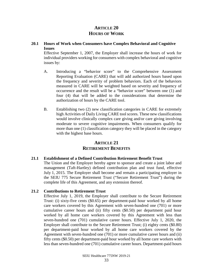# **ARTICLE 20 HOURS OF WORK**

## <span id="page-40-1"></span><span id="page-40-0"></span>**20.1 Hours of Work when Consumers have Complex Behavioral and Cognitive Issues**

Effective September 1, 2007, the Employer shall increase the hours of work for individual providers working for consumers with complex behavioral and cognitive issues by:

- A. Introducing a "behavior score" to the Comprehensive Assessment Reporting Evaluation (CARE) that will add authorized hours based upon the frequency and severity of problem behaviors. Each of the behaviors measured in CARE will be weighted based on severity and frequency of occurrence and the result will be a "behavior score" between one (1) and four (4) that will be added to the considerations that determine the authorization of hours by the CARE tool.
- B. Establishing two (2) new classification categories in CARE for extremely high Activities of Daily Living CARE tool scores. These new classifications would involve clinically complex care giving and/or care giving involving moderate to severe cognitive impairments. When consumers qualify for more than one (1) classification category they will be placed in the category with the highest base hours.

# **ARTICLE 21 RETIREMENT BENEFITS**

# <span id="page-40-3"></span><span id="page-40-2"></span>**21.1 Establishment of a Defined Contribution Retirement Benefit Trust**

The Union and the Employer hereby agree to sponsor and create a joint labor and management (Taft-Hartley) defined contribution plan and trust fund, effective July 1, 2015. The Employer shall become and remain a participating employer in the SEIU 775 Secure Retirement Trust ("Secure Retirement Trust") during the complete life of this Agreement, and any extension thereof.

#### <span id="page-40-4"></span>**21.2 Contributions to Retirement Trust**

Effective July 1, 2019, the Employer shall contribute to the Secure Retirement Trust: (i) sixty-five cents (\$0.65) per department-paid hour worked by all home care workers covered by this Agreement with seven-hundred one (701) or more cumulative career hours and (ii) fifty cents (\$0.50) per department paid hour worked by all home care workers covered by this Agreement with less than seven-hundred one (701) cumulative career hours. Effective July 1, 2020, the Employer shall contribute to the Secure Retirement Trust; (i) eighty cents (\$0.80) per department-paid hour worked by all home care workers covered by the Agreement with seven-hundred one (701) or more cumulative career hours and (ii) fifty cents (\$0.50) per department-paid hour worked by all home care workers with less than seven-hundred one (701) cumulative career hours. Department-paid hours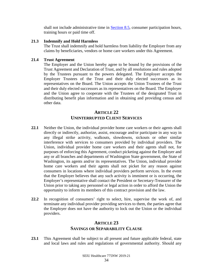shall not include administrative time in [Section 8.5,](#page-24-0) consumer participation hours, training hours or paid time off.

#### <span id="page-41-0"></span>**21.3 Indemnify and Hold Harmless**

The Trust shall indemnify and hold harmless from liability the Employer from any claims by beneficiaries, vendors or home care workers under this Agreement.

# <span id="page-41-1"></span>**21.4 Trust Agreement**

The Employer and the Union hereby agree to be bound by the provisions of the Trust Agreement and Declaration of Trust, and by all resolutions and rules adopted by the Trustees pursuant to the powers delegated. The Employer accepts the Employer Trustees of the Trust and their duly elected successors as its representatives on the Board. The Union accepts the Union Trustees of the Trust and their duly elected successors as its representatives on the Board. The Employer and the Union agree to cooperate with the Trustees of the designated Trust in distributing benefit plan information and in obtaining and providing census and other data.

# **ARTICLE 22 UNINTERRUPTED CLIENT SERVICES**

- <span id="page-41-2"></span>**22.1** Neither the Union, the individual provider home care workers or their agents shall directly or indirectly, authorize, assist, encourage and/or participate in any way in any illegal strike activity, walkouts, slowdowns, sickouts or other similar interference with services to consumers provided by individual providers. The Union, individual provider home care workers and their agents shall not, for purposes of enforcing this Agreement, conduct picketing against the Employer and any or all branches and departments of Washington State government, the State of Washington, its agents and/or its representatives. The Union, individual provider home care workers and their agents shall not picket for any reason against consumers in locations where individual providers perform services. In the event that the Employer believes that any such activity is imminent or is occurring, the Employer's representative shall contact the President or Secretary-Treasurer of the Union prior to taking any personnel or legal action in order to afford the Union the opportunity to inform its members of this contract provision and the law.
- **22.2** In recognition of consumers' right to select, hire, supervise the work of, and terminate any individual provider providing services to them, the parties agree that the Employer does not have the authority to lock out the Union or the individual providers.

# **ARTICLE 23 SAVINGS OR SEPARABILITY CLAUSE**

<span id="page-41-3"></span>**23.1** This Agreement shall be subject to all present and future applicable federal, state and local laws and rules and regulations of governmental authority. Should any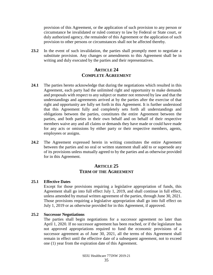<span id="page-42-4"></span>provision of this Agreement, or the application of such provision to any person or circumstance be invalidated or ruled contrary to law by Federal or State court, or duly authorized agency, the remainder of this Agreement or the application of such provision to other persons or circumstances shall not be affected thereby.

**23.2** In the event of such invalidation, the parties shall promptly meet to negotiate a substitute provision. Any changes or amendments to this Agreement shall be in writing and duly executed by the parties and their representatives.

# **ARTICLE 24 COMPLETE AGREEMENT**

- <span id="page-42-0"></span>**24.1** The parties hereto acknowledge that during the negotiations which resulted in this Agreement, each party had the unlimited right and opportunity to make demands and proposals with respect to any subject or matter not removed by law and that the understandings and agreements arrived at by the parties after the exercise of that right and opportunity are fully set forth in this Agreement. It is further understood that this Agreement fully and completely sets forth all understandings and obligations between the parties, constitutes the entire Agreement between the parties, and both parties in their own behalf and on behalf of their respective members waive any and all claims or demands they have made or could have made for any acts or omissions by either party or their respective members, agents, employees or assigns.
- **24.2** The Agreement expressed herein in writing constitutes the entire Agreement between the parties and no oral or written statement shall add to or supersede any of its provisions unless mutually agreed to by the parties and as otherwise provided for in this Agreement.

# **ARTICLE 25 TERM OF THE AGREEMENT**

#### <span id="page-42-2"></span><span id="page-42-1"></span>**25.1 Effective Dates**

Except for those provisions requiring a legislative appropriation of funds, this Agreement shall go into full effect July 1, 2019, and shall continue in full effect, unless amended by mutual written agreement of the parties, through June 30, 2021. Those provisions requiring a legislative appropriation shall go into full effect on July 1, 2019 or as otherwise provided for in this Agreement, if approved.

## <span id="page-42-3"></span>**25.2 Successor Negotiations**

The parties shall begin negotiations for a successor agreement no later than April 1, 2020. If no successor agreement has been reached, or if the legislature has not approved appropriations required to fund the economic provisions of a successor agreement as of June 30, 2021, all the terms of this Agreement shall remain in effect until the effective date of a subsequent agreement, not to exceed one (1) year from the expiration date of this Agreement.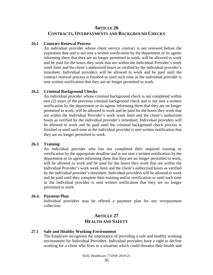# <span id="page-43-0"></span>**ARTICLE 26 CONTRACTS, OVERPAYMENTS AND BACKGROUND CHECKS**

#### <span id="page-43-1"></span>**26.1 Contract Renewal Process**

An individual provider whose client service contract is not renewed before the expiration date and is not sent a written notification by the department or its agents informing them that they are no longer permitted to work, will be allowed to work and be paid for the hours they work that are within the Individual Provider's work week limit and the client's authorized hours as verified by the individual provider's timesheet. Individual providers will be allowed to work and be paid until the contract renewal process is finished or until such time as the individual provider is sent written notification that they are no longer permitted to work.

#### <span id="page-43-2"></span>**26.2. Criminal Background Checks**

An individual provider whose criminal background check is not completed within two (2) years of the previous criminal background check and is not sent a written notification by the department or its agents informing them that they are no longer permitted to work, will be allowed to work and be paid for the hours they work that are within the Individual Provider's work week limit and the client's authorized hours as verified by the individual provider's timesheet. Individual providers will be allowed to work and be paid until the criminal background check process is finished or until such time as the individual provider is sent written notification that they are no longer permitted to work.

#### <span id="page-43-3"></span>**26.3 Training**

An individual provider who has not completed their required training or certification by the appropriate deadline and is not sent a written notification by the department or its agents informing them that they are no longer permitted to work, will be allowed to work and be paid for the hours they work that are within the Individual Provider's work week limit and the client's authorized hours as verified by the individual provider's timesheet. Individual providers will be allowed to work and be paid until they complete their training and/or certification or until such time as the individual provider is sent written notification that they are no longer permitted to work.

#### <span id="page-43-4"></span>**26.4. Payment Plan**

Individual providers may be offered a payment plan for any overpayment collection.

# **ARTICLE 27 HEALTH AND SAFETY**

#### <span id="page-43-6"></span><span id="page-43-5"></span>**27.1 Safe and Healthy Working Environment**

The Employer recognizes the importance of providing a safe and healthy working environment for Individual Providers. Individual providers have a right to decline working for a client who lives in a situation which could threaten their health and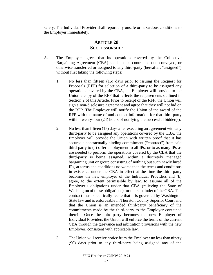<span id="page-44-0"></span>safety. The Individual Provider shall report any unsafe or hazardous conditions to the Employer immediately.

# **ARTICLE 28 SUCCESSORSHIP**

- A. The Employer agrees that its operations covered by the Collective Bargaining Agreement (CBA) shall not be contracted out, conveyed, or otherwise transferred or assigned to any third-party (hereafter, "assigned") without first taking the following steps:
	- 1. No less than fifteen (15) days prior to issuing the Request for Proposals (RFP) for selection of a third-party to be assigned any operations covered by the CBA, the Employer will provide to the Union a copy of the RFP that reflects the requirements outlined in Section 2 of this Article. Prior to receipt of the RFP, the Union will sign a non-disclosure agreement and agree that they will not bid on the RFP. The Employer will notify the Union of the award of the RFP with the name of and contact information for that third-party within twenty-four (24) hours of notifying the successful bidder(s).
	- 2. No less than fifteen (15) days after executing an agreement with any third-party to be assigned any operations covered by the CBA, the Employer will provide the Union with written proof that it has secured a contractually binding commitment ("contract") from said third-party to (a) offer employment to all IPs, or to as many IPs as are needed to perform the operations covered by the CBA that the third-party is being assigned, within a discretely managed bargaining unit or group consisting of nothing but such newly hired IPs, at terms and conditions no worse than the terms and conditions in existence under the CBA in effect at the time the third-party becomes the new employer of the Individual Providers and (b) agree, to the extent permissible by law, to assume all of the Employer's obligations under that CBA (relieving the State of Washington of these obligations) for the remainder of the CBA. The contract must specifically recite that it is governed by Washington State law and is enforceable in Thurston County Superior Court and that the Union is an intended third-party beneficiary of the commitments made by the third-party to the Employer contained therein. Once the third-party becomes the new Employer of Individual Providers the Union will enforce the terms of the current CBA through the grievance and arbitration provisions with the new Employer, consistent with applicable law.
	- 3. The Union will receive notice from the Employer no less than ninety (90) days prior to any third-party being assigned any of the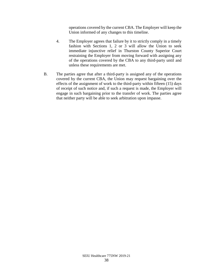operations covered by the current CBA. The Employer will keep the Union informed of any changes to this timeline.

- 4. The Employer agrees that failure by it to strictly comply in a timely fashion with Sections 1, 2 or 3 will allow the Union to seek immediate injunctive relief in Thurston County Superior Court restraining the Employer from moving forward with assigning any of the operations covered by the CBA to any third-party until and unless these requirements are met.
- B. The parties agree that after a third-party is assigned any of the operations covered by the current CBA, the Union may request bargaining over the effects of the assignment of work to the third-party within fifteen (15) days of receipt of such notice and, if such a request is made, the Employer will engage in such bargaining prior to the transfer of work. The parties agree that neither party will be able to seek arbitration upon impasse.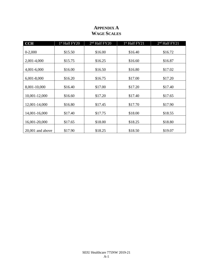| <b>CCH</b>         | 1 <sup>st</sup> Half FY20 | 2 <sup>nd</sup> Half FY20 | 1 <sup>st</sup> Half FY21 | 2 <sup>nd</sup> Half FY21 |
|--------------------|---------------------------|---------------------------|---------------------------|---------------------------|
|                    |                           |                           |                           |                           |
| $0-2,000$          | \$15.50                   | \$16.00                   | \$16.40                   | \$16.72                   |
|                    |                           |                           |                           |                           |
| 2,001-4,000        | \$15.75                   | \$16.25                   | \$16.60                   | \$16.87                   |
|                    |                           |                           |                           |                           |
| 4,001-6,000        | \$16.00                   | \$16.50                   | \$16.80                   | \$17.02                   |
|                    |                           |                           |                           |                           |
| $6,001-8,000$      | \$16.20                   | \$16.75                   | \$17.00                   | \$17.20                   |
| 8,001-10,000       | \$16.40                   | \$17.00                   | \$17.20                   | \$17.40                   |
|                    |                           |                           |                           |                           |
| 10,001-12,000      | \$16.60                   | \$17.20                   | \$17.40                   | \$17.65                   |
|                    |                           |                           |                           |                           |
| 12,001-14,000      | \$16.80                   | \$17.45                   | \$17.70                   | \$17.90                   |
|                    |                           |                           |                           |                           |
| 14,001-16,000      | \$17.40                   | \$17.75                   | \$18.00                   | \$18.55                   |
|                    |                           |                           |                           |                           |
| 16,001-20,000      | \$17.65                   | \$18.00                   | \$18.25                   | \$18.80                   |
|                    |                           |                           |                           |                           |
| $20,001$ and above | \$17.90                   | \$18.25                   | \$18.50                   | \$19.07                   |

# **APPENDIX A WAGE SCALES**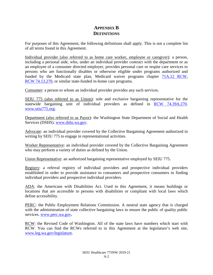# **APPENDIX B DEFINITIONS**

For purposes of this Agreement, the following definitions shall apply. This is not a complete list of all terms found in this Agreement.

Individual provider (also referred to as home care worker, employee or caregiver): a person, including a personal aide, who, under an individual provider contract with the department or as an employee of a consumer directed employer, provides personal care or respite care services to persons who are functionally disables or otherwise eligible under programs authorized and funded by the Medicaid state plan, Medicaid waiver programs chapter [71A.12 RCW,](http://app.leg.wa.gov/RCW/default.aspx?cite=71A.12) RCW [74.13.270,](http://app.leg.wa.gov/RCW/default.aspx?cite=74.13.270) or similar state-funded in-home care programs.

Consumer: a person to whom an individual provider provides any such services.

SEIU 775 (also referred to as Union): sole and exclusive bargaining representative for the statewide bargaining unit of individual providers as defined in [RCW 74.39A.270.](http://app.leg.wa.gov/RCW/default.aspx?cite=74.39A.270) [www.seiu775.org.](http://www.seiu775.org/)

Department (also referred to as Payor): the Washington State Department of Social and Health Services (DSHS). [www.dshs.wa.gov.](http://www.dshs.wa.gov/)

Advocate: an individual provider covered by the Collective Bargaining Agreement authorized in writing by SEIU 775 to engage in representational activities.

Worker Representative: an individual provider covered by the Collective Bargaining Agreement who may perform a variety of duties as defined by the Union.

Union Representative: an authorized bargaining representative employed by SEIU 775.

Registry: a referral registry of individual providers and prospective individual providers established in order to provide assistance to consumers and prospective consumers in finding individual providers and prospective individual providers.

ADA: the Americans with Disabilities Act. Used in this Agreement, it means buildings or locations that are accessible to persons with disabilities or compliant with local laws which define accessibility.

PERC: the Public Employment Relations Commission. A neutral state agency that is charged with the administration of state collective bargaining laws to ensure the public of quality public services. [www.perc.wa.gov](file://filedepot.eclient.wa.lcl/OFM/LRO/Bargaining/Home_Care/09-11/Work/Proposals/Employer_Initial_Proposals_4-14-08/www.perc.wa.gov)**.**

RCW: the Revised Code of Washington. All of the state laws have numbers which start with RCW. You can find the RCWs referred to in this Agreement at the legislature's web site, [www.leg.wa.gov/legislature.](file://filedepot.eclient.wa.lcl/OFM/LRO/Bargaining/Home_Care/09-11/Work/Proposals/Employer_Initial_Proposals_4-14-08/www.leg.wa.gov/legislature)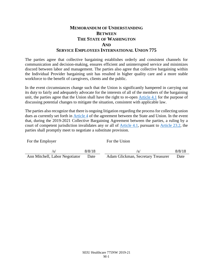# **MEMORANDUM OF UNDERSTANDING BETWEEN THE STATE OF WASHINGTON AND SERVICE EMPLOYEES INTERNATIONAL UNION 775**

The parties agree that collective bargaining establishes orderly and consistent channels for communication and decision-making, ensures efficient and uninterrupted service and minimizes discord between labor and management. The parties also agree that collective bargaining within the Individual Provider bargaining unit has resulted in higher quality care and a more stable workforce to the benefit of caregivers, clients and the public.

In the event circumstances change such that the Union is significantly hampered in carrying out its duty to fairly and adequately advocate for the interests of all of the members of the bargaining unit, the parties agree that the Union shall have the right to re-open [Article 4.1](#page-14-3) for the purpose of discussing potential changes to mitigate the situation, consistent with applicable law.

The parties also recognize that there is ongoing litigation regarding the process for collecting union dues as currently set forth in [Article 4](#page-13-3) of the agreement between the State and Union. In the event that, during the 2019-2021 Collective Bargaining Agreement between the parties, a ruling by a court of competent jurisdiction invalidates any or all of [Article 4.1](#page-14-3), pursuant to [Article 23.2,](#page-42-4) the parties shall promptly meet to negotiate a substitute provision.

| For the Employer               |        | For the Union                      |        |  |
|--------------------------------|--------|------------------------------------|--------|--|
| /s/                            | 8/8/18 | /s/                                | 8/8/18 |  |
| Ann Mitchell, Labor Negotiator | Date   | Adam Glickman, Secretary Treasurer | Date   |  |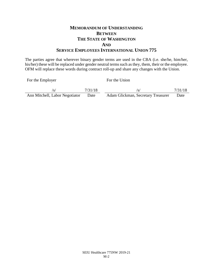# **MEMORANDUM OF UNDERSTANDING BETWEEN THE STATE OF WASHINGTON AND SERVICE EMPLOYEES INTERNATIONAL UNION 775**

The parties agree that wherever binary gender terms are used in the CBA (i.e. she/he, him/her, his/her) these will be replaced under gender neutral terms such as they, them, their or the employee. OFM will replace these words during contract roll-up and share any changes with the Union.

For the Employer For the Union

|                                | 7/31/18 | /s/                                | 7/31/18 |
|--------------------------------|---------|------------------------------------|---------|
| Ann Mitchell, Labor Negotiator | Date    | Adam Glickman, Secretary Treasurer | Date    |